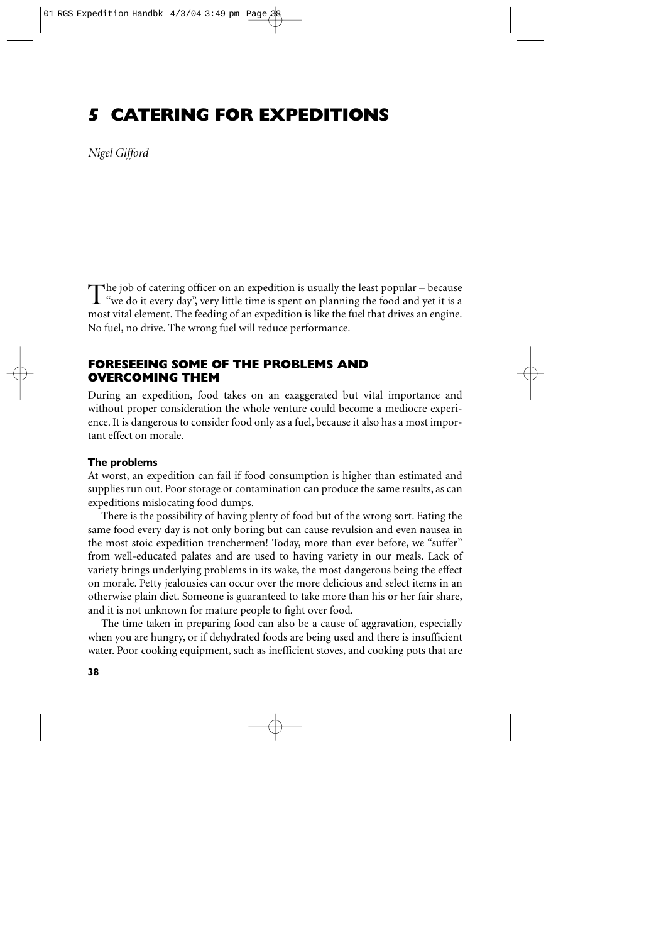*Nigel Gifford*

The job of catering officer on an expedition is usually the least popular – because<br>"we do it every day", very little time is spent on planning the food and yet it is a most vital element. The feeding of an expedition is like the fuel that drives an engine. No fuel, no drive. The wrong fuel will reduce performance.

# **FORESEEING SOME OF THE PROBLEMS AND OVERCOMING THEM**

During an expedition, food takes on an exaggerated but vital importance and without proper consideration the whole venture could become a mediocre experience. It is dangerous to consider food only as a fuel, because it also has a most important effect on morale.

### **The problems**

At worst, an expedition can fail if food consumption is higher than estimated and supplies run out. Poor storage or contamination can produce the same results, as can expeditions mislocating food dumps.

There is the possibility of having plenty of food but of the wrong sort. Eating the same food every day is not only boring but can cause revulsion and even nausea in the most stoic expedition trenchermen! Today, more than ever before, we "suffer" from well-educated palates and are used to having variety in our meals. Lack of variety brings underlying problems in its wake, the most dangerous being the effect on morale. Petty jealousies can occur over the more delicious and select items in an otherwise plain diet. Someone is guaranteed to take more than his or her fair share, and it is not unknown for mature people to fight over food.

The time taken in preparing food can also be a cause of aggravation, especially when you are hungry, or if dehydrated foods are being used and there is insufficient water. Poor cooking equipment, such as inefficient stoves, and cooking pots that are

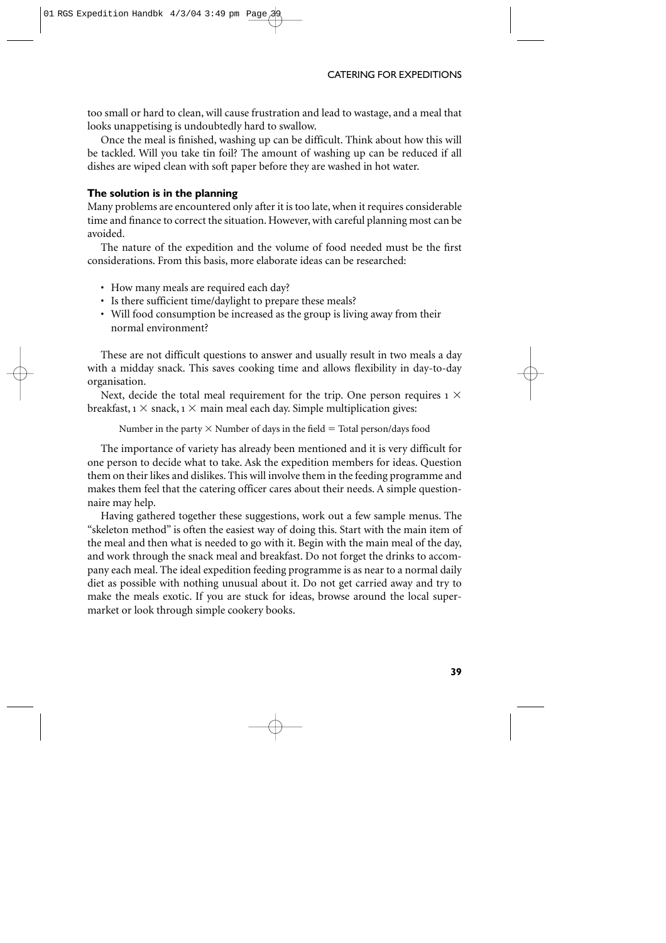too small or hard to clean, will cause frustration and lead to wastage, and a meal that looks unappetising is undoubtedly hard to swallow.

Once the meal is finished, washing up can be difficult. Think about how this will be tackled. Will you take tin foil? The amount of washing up can be reduced if all dishes are wiped clean with soft paper before they are washed in hot water.

#### **The solution is in the planning**

01 RGS Expedition Handbk  $4/3/04$  3:49 pm Page

Many problems are encountered only after it is too late, when it requires considerable time and finance to correct the situation. However, with careful planning most can be avoided.

The nature of the expedition and the volume of food needed must be the first considerations. From this basis, more elaborate ideas can be researched:

- How many meals are required each day?
- Is there sufficient time/daylight to prepare these meals?
- Will food consumption be increased as the group is living away from their normal environment?

These are not difficult questions to answer and usually result in two meals a day with a midday snack. This saves cooking time and allows flexibility in day-to-day organisation.

Next, decide the total meal requirement for the trip. One person requires  $1 \times$ breakfast,  $1 \times$  snack,  $1 \times$  main meal each day. Simple multiplication gives:

Number in the party  $\times$  Number of days in the field = Total person/days food

The importance of variety has already been mentioned and it is very difficult for one person to decide what to take. Ask the expedition members for ideas. Question them on their likes and dislikes. This will involve them in the feeding programme and makes them feel that the catering officer cares about their needs. A simple questionnaire may help.

Having gathered together these suggestions, work out a few sample menus. The "skeleton method" is often the easiest way of doing this. Start with the main item of the meal and then what is needed to go with it. Begin with the main meal of the day, and work through the snack meal and breakfast. Do not forget the drinks to accompany each meal. The ideal expedition feeding programme is as near to a normal daily diet as possible with nothing unusual about it. Do not get carried away and try to make the meals exotic. If you are stuck for ideas, browse around the local supermarket or look through simple cookery books.

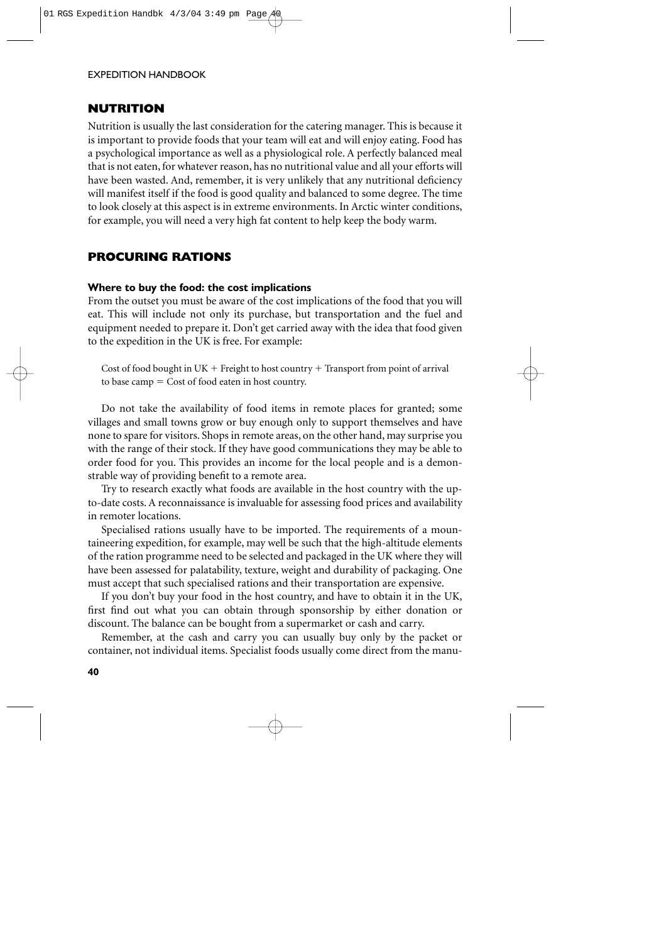### **NUTRITION**

Nutrition is usually the last consideration for the catering manager. This is because it is important to provide foods that your team will eat and will enjoy eating. Food has a psychological importance as well as a physiological role. A perfectly balanced meal that is not eaten, for whatever reason, has no nutritional value and all your efforts will have been wasted. And, remember, it is very unlikely that any nutritional deficiency will manifest itself if the food is good quality and balanced to some degree. The time to look closely at this aspect is in extreme environments. In Arctic winter conditions, for example, you will need a very high fat content to help keep the body warm.

# **PROCURING RATIONS**

#### **Where to buy the food: the cost implications**

From the outset you must be aware of the cost implications of the food that you will eat. This will include not only its purchase, but transportation and the fuel and equipment needed to prepare it. Don't get carried away with the idea that food given to the expedition in the UK is free. For example:

Cost of food bought in UK + Freight to host country  $+$  Transport from point of arrival to base camp = Cost of food eaten in host country.

Do not take the availability of food items in remote places for granted; some villages and small towns grow or buy enough only to support themselves and have none to spare for visitors. Shops in remote areas, on the other hand, may surprise you with the range of their stock. If they have good communications they may be able to order food for you. This provides an income for the local people and is a demonstrable way of providing benefit to a remote area.

Try to research exactly what foods are available in the host country with the upto-date costs. A reconnaissance is invaluable for assessing food prices and availability in remoter locations.

Specialised rations usually have to be imported. The requirements of a mountaineering expedition, for example, may well be such that the high-altitude elements of the ration programme need to be selected and packaged in the UK where they will have been assessed for palatability, texture, weight and durability of packaging. One must accept that such specialised rations and their transportation are expensive.

If you don't buy your food in the host country, and have to obtain it in the UK, first find out what you can obtain through sponsorship by either donation or discount. The balance can be bought from a supermarket or cash and carry.

Remember, at the cash and carry you can usually buy only by the packet or container, not individual items. Specialist foods usually come direct from the manu-

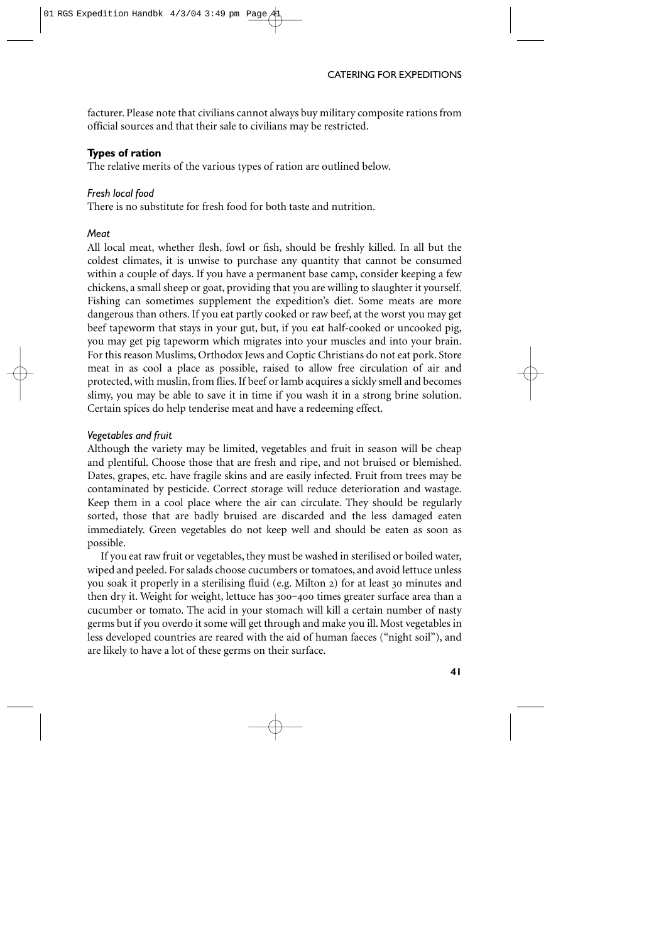facturer. Please note that civilians cannot always buy military composite rations from official sources and that their sale to civilians may be restricted.

## **Types of ration**

The relative merits of the various types of ration are outlined below.

#### *Fresh local food*

There is no substitute for fresh food for both taste and nutrition.

#### *Meat*

All local meat, whether flesh, fowl or fish, should be freshly killed. In all but the coldest climates, it is unwise to purchase any quantity that cannot be consumed within a couple of days. If you have a permanent base camp, consider keeping a few chickens, a small sheep or goat, providing that you are willing to slaughter it yourself. Fishing can sometimes supplement the expedition's diet. Some meats are more dangerous than others. If you eat partly cooked or raw beef, at the worst you may get beef tapeworm that stays in your gut, but, if you eat half-cooked or uncooked pig, you may get pig tapeworm which migrates into your muscles and into your brain. For this reason Muslims, Orthodox Jews and Coptic Christians do not eat pork. Store meat in as cool a place as possible, raised to allow free circulation of air and protected, with muslin, from flies. If beef or lamb acquires a sickly smell and becomes slimy, you may be able to save it in time if you wash it in a strong brine solution. Certain spices do help tenderise meat and have a redeeming effect.

#### *Vegetables and fruit*

Although the variety may be limited, vegetables and fruit in season will be cheap and plentiful. Choose those that are fresh and ripe, and not bruised or blemished. Dates, grapes, etc. have fragile skins and are easily infected. Fruit from trees may be contaminated by pesticide. Correct storage will reduce deterioration and wastage. Keep them in a cool place where the air can circulate. They should be regularly sorted, those that are badly bruised are discarded and the less damaged eaten immediately. Green vegetables do not keep well and should be eaten as soon as possible.

If you eat raw fruit or vegetables, they must be washed in sterilised or boiled water, wiped and peeled. For salads choose cucumbers or tomatoes, and avoid lettuce unless you soak it properly in a sterilising fluid (e.g. Milton 2) for at least 30 minutes and then dry it. Weight for weight, lettuce has 300-400 times greater surface area than a cucumber or tomato. The acid in your stomach will kill a certain number of nasty germs but if you overdo it some will get through and make you ill. Most vegetables in less developed countries are reared with the aid of human faeces ("night soil"), and are likely to have a lot of these germs on their surface.

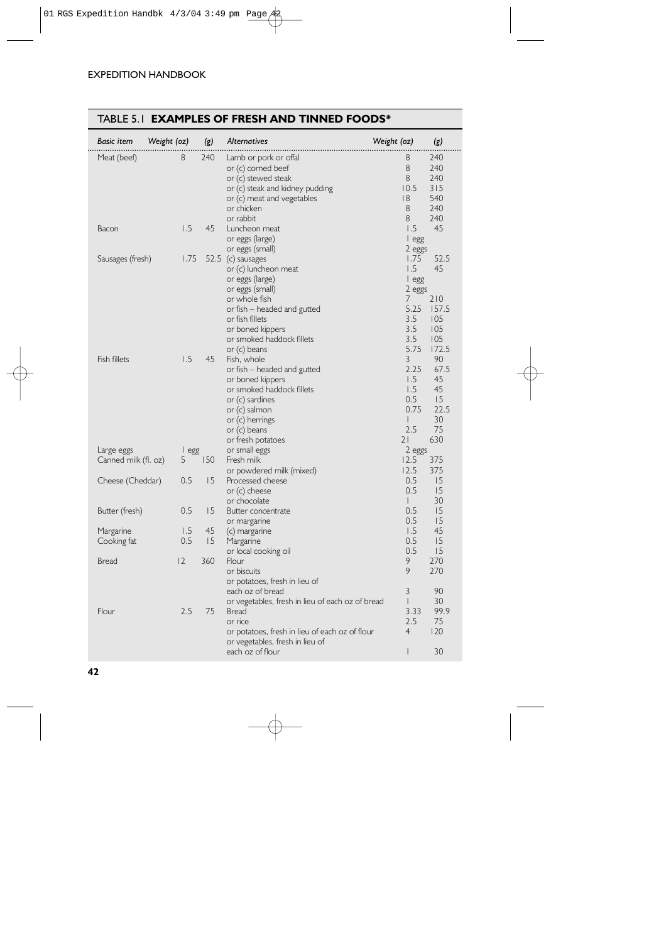| TABLE 5.1 EXAMPLES OF FRESH AND TINNED FOODS* |                        |                                                                                                                                                                                                           |                                                                                                                                      |  |  |  |  |  |
|-----------------------------------------------|------------------------|-----------------------------------------------------------------------------------------------------------------------------------------------------------------------------------------------------------|--------------------------------------------------------------------------------------------------------------------------------------|--|--|--|--|--|
| Weight (oz)<br><b>Basic item</b>              | (g)                    | <b>Alternatives</b>                                                                                                                                                                                       | Weight (oz)<br>(g)                                                                                                                   |  |  |  |  |  |
| Meat (beef)                                   | 8<br>240               | Lamb or pork or offal<br>or (c) corned beef<br>or (c) stewed steak<br>or (c) steak and kidney pudding<br>or (c) meat and vegetables<br>or chicken<br>or rabbit                                            | 8<br>240<br>8<br>240<br>8<br>240<br>10.5<br>315<br> 8<br>540<br>8<br>240<br>8<br>240                                                 |  |  |  |  |  |
| Bacon                                         | 1.5<br>45              | Luncheon meat<br>or eggs (large)<br>or eggs (small)                                                                                                                                                       | 1.5<br>45<br>I egg<br>2 eggs                                                                                                         |  |  |  |  |  |
| Sausages (fresh)                              | 1.75                   | 52.5 (c) sausages<br>or (c) luncheon meat<br>or eggs (large)<br>or eggs (small)<br>or whole fish<br>or fish - headed and gutted<br>or fish fillets<br>or boned kippers<br>or smoked haddock fillets       | 52.5<br>1.75<br>1.5<br>45<br>l egg<br>2 eggs<br>7<br>210<br>5.25<br>157.5<br>3.5<br>105<br>3.5<br>105<br>3.5<br>105<br>5.75<br>172.5 |  |  |  |  |  |
| Fish fillets                                  | 1.5<br>45              | or (c) beans<br>Fish, whole<br>or fish - headed and gutted<br>or boned kippers<br>or smoked haddock fillets<br>or (c) sardines<br>or (c) salmon<br>or (c) herrings<br>or $(c)$ beans<br>or fresh potatoes | 90<br>3<br>67.5<br>2.25<br>1.5<br>45<br>1.5<br>45<br>0.5<br>15<br>0.75<br>22.5<br>30<br>$\mathsf{L}$<br>2.5<br>75<br>21<br>630       |  |  |  |  |  |
| Large eggs<br>Canned milk (fl. oz)            | l egg<br>5<br>150      | or small eggs<br>Fresh milk                                                                                                                                                                               | 2 eggs<br>12.5<br>375                                                                                                                |  |  |  |  |  |
| Cheese (Cheddar)                              | 0.5<br>15              | or powdered milk (mixed)<br>Processed cheese<br>or (c) cheese<br>or chocolate                                                                                                                             | 12.5<br>375<br>0.5<br>15<br>0.5<br>15<br>30<br>$\mathsf{I}$                                                                          |  |  |  |  |  |
| Butter (fresh)                                | 0.5<br>15              | Butter concentrate<br>or margarine                                                                                                                                                                        | 0.5<br>15<br>0.5<br>15                                                                                                               |  |  |  |  |  |
| Margarine<br>Cooking fat                      | 1.5<br>45<br>15<br>0.5 | (c) margarine<br>Margarine                                                                                                                                                                                | 1.5<br>45<br>0.5<br>15                                                                                                               |  |  |  |  |  |
| Bread                                         | 2<br>360               | or local cooking oil<br>Flour<br>or biscuits<br>or potatoes, fresh in lieu of<br>each oz of bread<br>or vegetables, fresh in lieu of each oz of bread                                                     | 0.5<br>15<br>9<br>270<br>9<br>270<br>3<br>90<br>$\mathbf{I}$<br>30                                                                   |  |  |  |  |  |
| Flour                                         | 2.5<br>75              | <b>Bread</b><br>or rice<br>or potatoes, fresh in lieu of each oz of flour<br>or vegetables, fresh in lieu of                                                                                              | 3.33<br>99.9<br>2.5<br>75<br>$\overline{4}$<br>120                                                                                   |  |  |  |  |  |
|                                               |                        | each oz of flour                                                                                                                                                                                          | 30<br>I                                                                                                                              |  |  |  |  |  |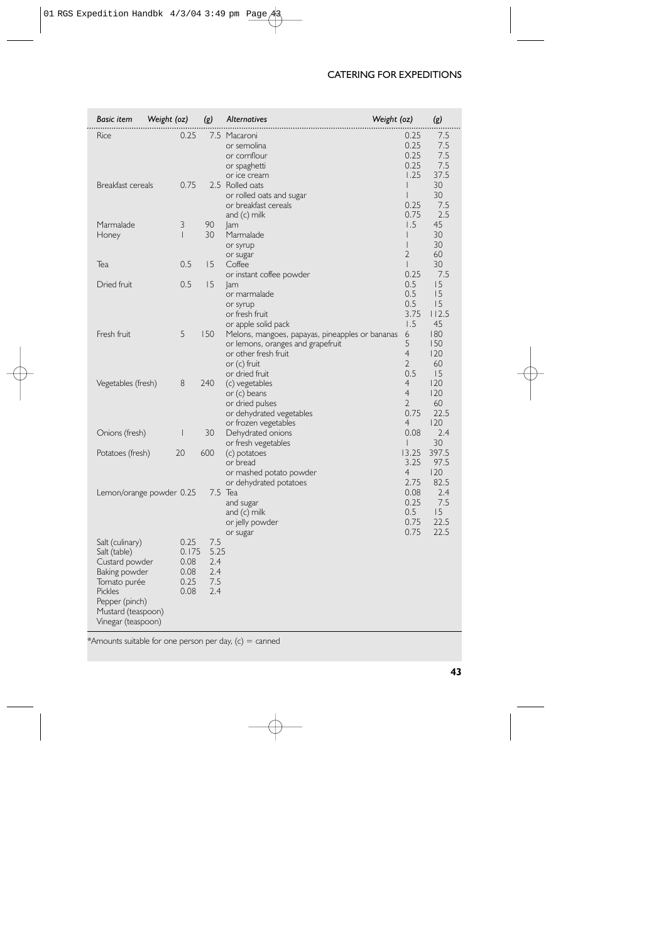| <b>Basic item</b><br>Weight (oz)                                                                                                                            |                                               | (g)                                     | <b>Alternatives</b>                                                                                                                                                   | Weight (oz)                                                     | (g)                                 |
|-------------------------------------------------------------------------------------------------------------------------------------------------------------|-----------------------------------------------|-----------------------------------------|-----------------------------------------------------------------------------------------------------------------------------------------------------------------------|-----------------------------------------------------------------|-------------------------------------|
| Rice                                                                                                                                                        | 0.25                                          |                                         | 7.5 Macaroni<br>or semolina<br>or cornflour<br>or spaghetti                                                                                                           | 0.25<br>0.25<br>0.25<br>0.25<br>1.25                            | 7.5<br>7.5<br>7.5<br>7.5<br>37.5    |
| Breakfast cereals                                                                                                                                           | 0.75                                          |                                         | or ice cream<br>2.5 Rolled oats<br>or rolled oats and sugar<br>or breakfast cereals<br>and $(c)$ milk                                                                 | I<br>$\overline{\phantom{a}}$<br>0.25<br>0.75                   | 30<br>30<br>7.5<br>2.5              |
| Marmalade<br>Honey                                                                                                                                          | 3<br>$\mathsf{I}$                             | 90<br>30                                | Jam<br>Marmalade<br>or syrup                                                                                                                                          | 1.5<br>I<br>$\overline{1}$<br>$\overline{2}$                    | 45<br>30<br>30                      |
| Tea                                                                                                                                                         | 0.5                                           | 15                                      | or sugar<br>Coffee<br>or instant coffee powder                                                                                                                        | $\overline{\phantom{a}}$<br>0.25                                | 60<br>30<br>7.5                     |
| Dried fruit                                                                                                                                                 | 0.5                                           | 15                                      | lam<br>or marmalade<br>or syrup<br>or fresh fruit                                                                                                                     | 0.5<br>0.5<br>0.5<br>3.75                                       | 15<br>15<br>15<br>112.5             |
| Fresh fruit                                                                                                                                                 | 5                                             | 150                                     | or apple solid pack<br>Melons, mangoes, papayas, pineapples or bananas<br>or lemons, oranges and grapefruit<br>or other fresh fruit<br>or (c) fruit<br>or dried fruit | 1.5<br>6<br>5<br>$\overline{4}$<br>$\overline{2}$<br>0.5        | 45<br>180<br>150<br>120<br>60<br>15 |
| Vegetables (fresh)                                                                                                                                          | 8                                             | 240                                     | (c) vegetables<br>or (c) beans<br>or dried pulses<br>or dehydrated vegetables<br>or frozen vegetables                                                                 | $\overline{4}$<br>$\overline{4}$<br>2<br>0.75<br>$\overline{4}$ | 120<br>120<br>60<br>22.5<br>120     |
| Onions (fresh)                                                                                                                                              | I                                             | 30                                      | Dehydrated onions<br>or fresh vegetables                                                                                                                              | 0.08<br>$\mathsf{I}$                                            | 2.4<br>30                           |
| Potatoes (fresh)                                                                                                                                            | 20                                            | 600                                     | (c) potatoes<br>or bread<br>or mashed potato powder<br>or dehydrated potatoes                                                                                         | 13.25<br>3.25<br>$\overline{4}$<br>2.75                         | 397.5<br>97.5<br>120<br>82.5        |
| Lemon/orange powder 0.25                                                                                                                                    |                                               |                                         | 7.5 Tea<br>and sugar<br>and (c) milk<br>or jelly powder<br>or sugar                                                                                                   | 0.08<br>0.25<br>0.5<br>0.75<br>0.75                             | 2.4<br>7.5<br>15<br>22.5<br>22.5    |
| Salt (culinary)<br>Salt (table)<br>Custard powder<br>Baking powder<br>Tomato purée<br>Pickles<br>Pepper (pinch)<br>Mustard (teaspoon)<br>Vinegar (teaspoon) | 0.25<br>0.175<br>0.08<br>0.08<br>0.25<br>0.08 | 7.5<br>5.25<br>2.4<br>2.4<br>7.5<br>2.4 |                                                                                                                                                                       |                                                                 |                                     |

\*Amounts suitable for one person per day, (c) = canned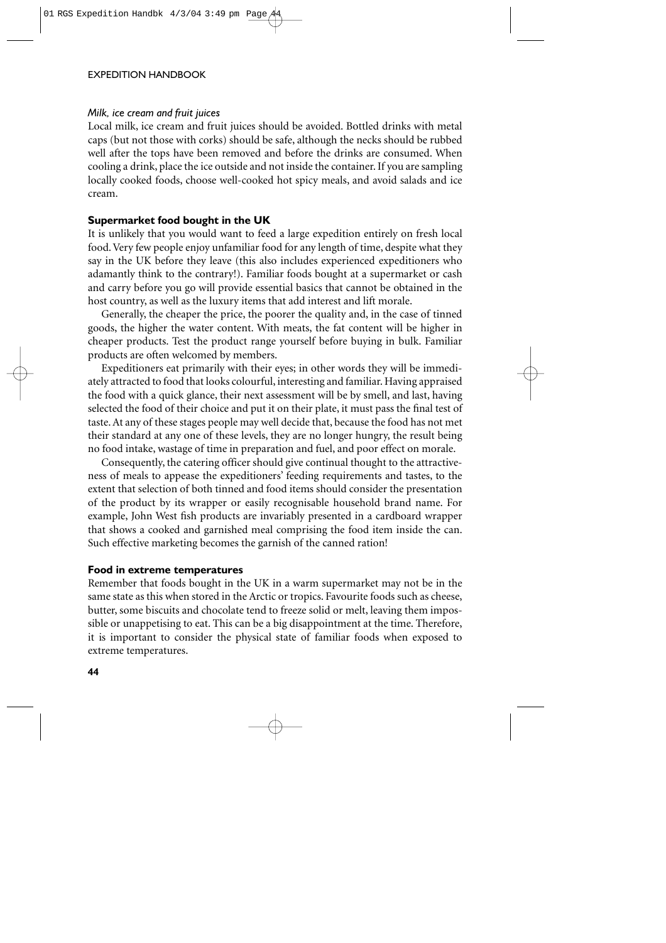### *Milk, ice cream and fruit juices*

Local milk, ice cream and fruit juices should be avoided. Bottled drinks with metal caps (but not those with corks) should be safe, although the necks should be rubbed well after the tops have been removed and before the drinks are consumed. When cooling a drink, place the ice outside and not inside the container. If you are sampling locally cooked foods, choose well-cooked hot spicy meals, and avoid salads and ice cream.

#### **Supermarket food bought in the UK**

It is unlikely that you would want to feed a large expedition entirely on fresh local food. Very few people enjoy unfamiliar food for any length of time, despite what they say in the UK before they leave (this also includes experienced expeditioners who adamantly think to the contrary!). Familiar foods bought at a supermarket or cash and carry before you go will provide essential basics that cannot be obtained in the host country, as well as the luxury items that add interest and lift morale.

Generally, the cheaper the price, the poorer the quality and, in the case of tinned goods, the higher the water content. With meats, the fat content will be higher in cheaper products. Test the product range yourself before buying in bulk. Familiar products are often welcomed by members.

Expeditioners eat primarily with their eyes; in other words they will be immediately attracted to food that looks colourful, interesting and familiar. Having appraised the food with a quick glance, their next assessment will be by smell, and last, having selected the food of their choice and put it on their plate, it must pass the final test of taste. At any of these stages people may well decide that, because the food has not met their standard at any one of these levels, they are no longer hungry, the result being no food intake, wastage of time in preparation and fuel, and poor effect on morale.

Consequently, the catering officer should give continual thought to the attractiveness of meals to appease the expeditioners' feeding requirements and tastes, to the extent that selection of both tinned and food items should consider the presentation of the product by its wrapper or easily recognisable household brand name. For example, John West fish products are invariably presented in a cardboard wrapper that shows a cooked and garnished meal comprising the food item inside the can. Such effective marketing becomes the garnish of the canned ration!

#### **Food in extreme temperatures**

Remember that foods bought in the UK in a warm supermarket may not be in the same state as this when stored in the Arctic or tropics. Favourite foods such as cheese, butter, some biscuits and chocolate tend to freeze solid or melt, leaving them impossible or unappetising to eat. This can be a big disappointment at the time. Therefore, it is important to consider the physical state of familiar foods when exposed to extreme temperatures.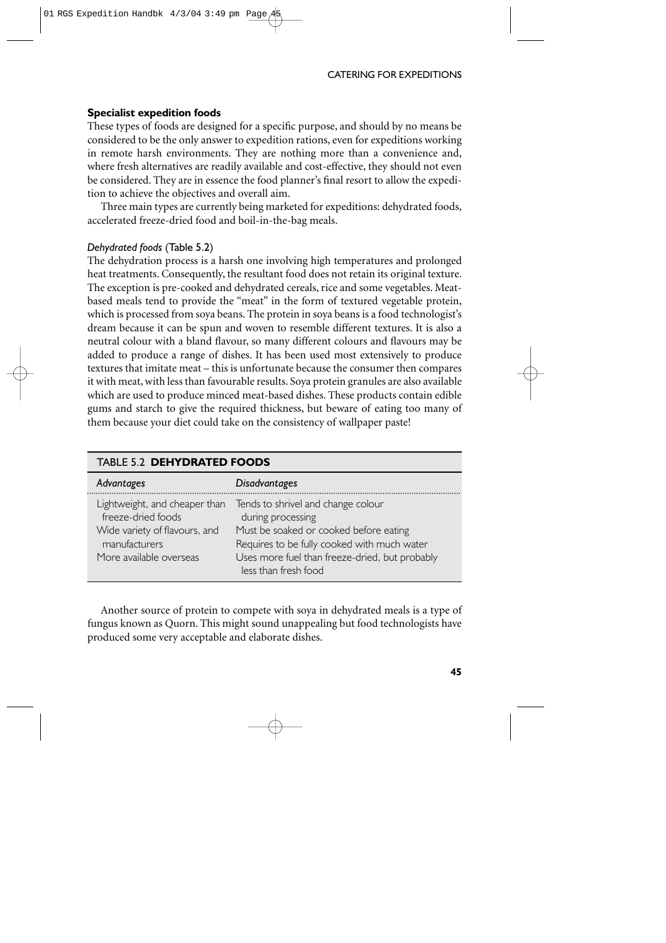#### **Specialist expedition foods**

These types of foods are designed for a specific purpose, and should by no means be considered to be the only answer to expedition rations, even for expeditions working in remote harsh environments. They are nothing more than a convenience and, where fresh alternatives are readily available and cost-effective, they should not even be considered. They are in essence the food planner's final resort to allow the expedition to achieve the objectives and overall aim.

Three main types are currently being marketed for expeditions: dehydrated foods, accelerated freeze-dried food and boil-in-the-bag meals.

#### *Dehydrated foods* (Table 5.2)

The dehydration process is a harsh one involving high temperatures and prolonged heat treatments. Consequently, the resultant food does not retain its original texture. The exception is pre-cooked and dehydrated cereals, rice and some vegetables. Meatbased meals tend to provide the "meat" in the form of textured vegetable protein, which is processed from soya beans. The protein in soya beans is a food technologist's dream because it can be spun and woven to resemble different textures. It is also a neutral colour with a bland flavour, so many different colours and flavours may be added to produce a range of dishes. It has been used most extensively to produce textures that imitate meat – this is unfortunate because the consumer then compares it with meat, with less than favourable results. Soya protein granules are also available which are used to produce minced meat-based dishes. These products contain edible gums and starch to give the required thickness, but beware of eating too many of them because your diet could take on the consistency of wallpaper paste!

| <b>TABLE 5.2 DEHYDRATED FOODS</b>                                                                                                |                                                                                                                                                                                                                            |  |  |  |
|----------------------------------------------------------------------------------------------------------------------------------|----------------------------------------------------------------------------------------------------------------------------------------------------------------------------------------------------------------------------|--|--|--|
| Advantages                                                                                                                       | Disadvantages                                                                                                                                                                                                              |  |  |  |
| Lightweight, and cheaper than<br>freeze-dried foods<br>Wide variety of flavours, and<br>manufacturers<br>More available overseas | Tends to shrivel and change colour<br>during processing<br>Must be soaked or cooked before eating<br>Requires to be fully cooked with much water<br>Uses more fuel than freeze-dried, but probably<br>less than fresh food |  |  |  |

Another source of protein to compete with soya in dehydrated meals is a type of fungus known as Quorn. This might sound unappealing but food technologists have produced some very acceptable and elaborate dishes.

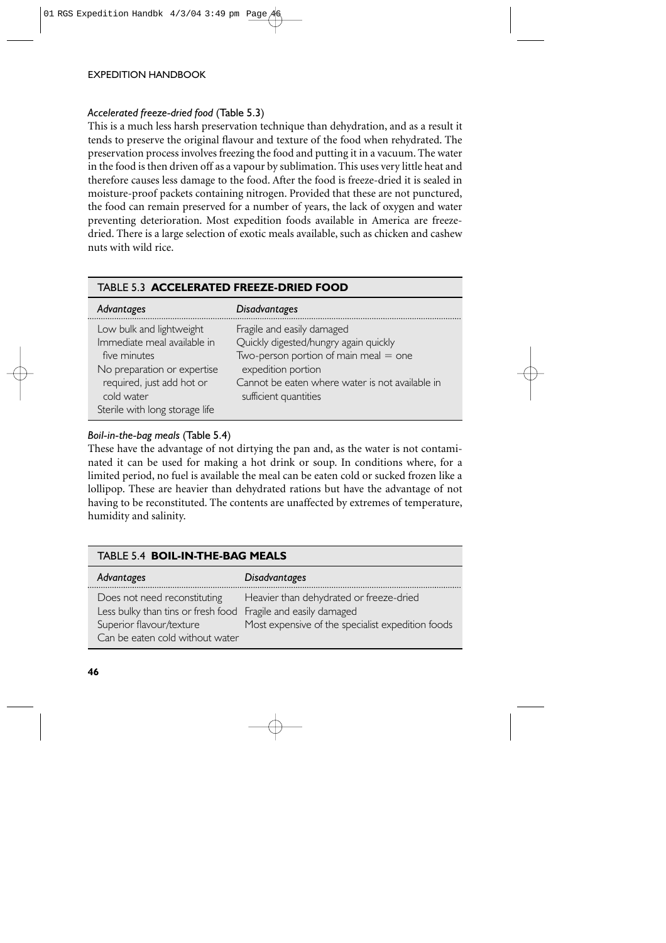# *Accelerated freeze-dried food* (Table 5.3)

This is a much less harsh preservation technique than dehydration, and as a result it tends to preserve the original flavour and texture of the food when rehydrated. The preservation process involves freezing the food and putting it in a vacuum. The water in the food is then driven off as a vapour by sublimation. This uses very little heat and therefore causes less damage to the food. After the food is freeze-dried it is sealed in moisture-proof packets containing nitrogen. Provided that these are not punctured, the food can remain preserved for a number of years, the lack of oxygen and water preventing deterioration. Most expedition foods available in America are freezedried. There is a large selection of exotic meals available, such as chicken and cashew nuts with wild rice.

| TABLE 5.3 ACCELERATED FREEZE-DRIED FOOD                                                                                                                                                                                                                                                                                                                                                                 |  |  |  |  |  |
|---------------------------------------------------------------------------------------------------------------------------------------------------------------------------------------------------------------------------------------------------------------------------------------------------------------------------------------------------------------------------------------------------------|--|--|--|--|--|
| Disadvantages<br>Advantages                                                                                                                                                                                                                                                                                                                                                                             |  |  |  |  |  |
| Low bulk and lightweight<br>Fragile and easily damaged<br>Immediate meal available in<br>Quickly digested/hungry again quickly<br>Two-person portion of main meal $=$ one<br>five minutes<br>No preparation or expertise<br>expedition portion<br>required, just add hot or<br>Cannot be eaten where water is not available in<br>cold water<br>sufficient quantities<br>Sterile with long storage life |  |  |  |  |  |

### *Boil-in-the-bag meals* (Table 5.4)

These have the advantage of not dirtying the pan and, as the water is not contaminated it can be used for making a hot drink or soup. In conditions where, for a limited period, no fuel is available the meal can be eaten cold or sucked frozen like a lollipop. These are heavier than dehydrated rations but have the advantage of not having to be reconstituted. The contents are unaffected by extremes of temperature, humidity and salinity.

| TABLE 5.4 BOIL-IN-THE-BAG MEALS                                                                                                                              |                                                                                              |  |  |  |  |  |
|--------------------------------------------------------------------------------------------------------------------------------------------------------------|----------------------------------------------------------------------------------------------|--|--|--|--|--|
| Advantages                                                                                                                                                   | Disadvantages                                                                                |  |  |  |  |  |
| Does not need reconstituting<br>Less bulky than tins or fresh food Fragile and easily damaged<br>Superior flavour/texture<br>Can be eaten cold without water | Heavier than dehydrated or freeze-dried<br>Most expensive of the specialist expedition foods |  |  |  |  |  |

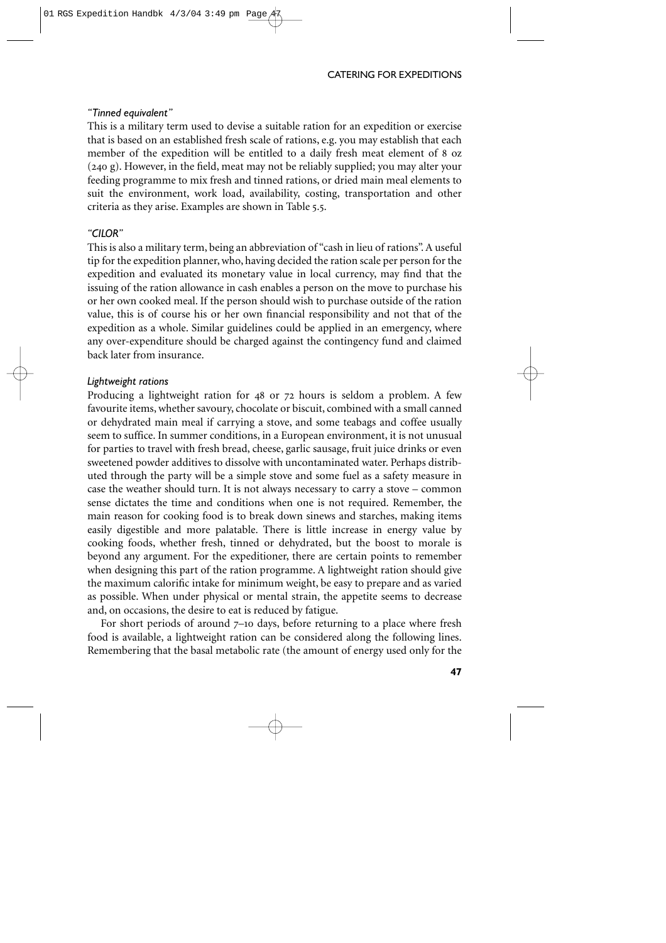#### *"Tinned equivalent"*

This is a military term used to devise a suitable ration for an expedition or exercise that is based on an established fresh scale of rations, e.g. you may establish that each member of the expedition will be entitled to a daily fresh meat element of 8 oz (240 g). However, in the field, meat may not be reliably supplied; you may alter your feeding programme to mix fresh and tinned rations, or dried main meal elements to suit the environment, work load, availability, costing, transportation and other criteria as they arise. Examples are shown in Table 5.5.

## *"CILOR"*

This is also a military term, being an abbreviation of "cash in lieu of rations". A useful tip for the expedition planner, who, having decided the ration scale per person for the expedition and evaluated its monetary value in local currency, may find that the issuing of the ration allowance in cash enables a person on the move to purchase his or her own cooked meal. If the person should wish to purchase outside of the ration value, this is of course his or her own financial responsibility and not that of the expedition as a whole. Similar guidelines could be applied in an emergency, where any over-expenditure should be charged against the contingency fund and claimed back later from insurance.

#### *Lightweight rations*

Producing a lightweight ration for 48 or 72 hours is seldom a problem. A few favourite items, whether savoury, chocolate or biscuit, combined with a small canned or dehydrated main meal if carrying a stove, and some teabags and coffee usually seem to suffice. In summer conditions, in a European environment, it is not unusual for parties to travel with fresh bread, cheese, garlic sausage, fruit juice drinks or even sweetened powder additives to dissolve with uncontaminated water. Perhaps distributed through the party will be a simple stove and some fuel as a safety measure in case the weather should turn. It is not always necessary to carry a stove – common sense dictates the time and conditions when one is not required. Remember, the main reason for cooking food is to break down sinews and starches, making items easily digestible and more palatable. There is little increase in energy value by cooking foods, whether fresh, tinned or dehydrated, but the boost to morale is beyond any argument. For the expeditioner, there are certain points to remember when designing this part of the ration programme. A lightweight ration should give the maximum calorific intake for minimum weight, be easy to prepare and as varied as possible. When under physical or mental strain, the appetite seems to decrease and, on occasions, the desire to eat is reduced by fatigue.

For short periods of around 7–10 days, before returning to a place where fresh food is available, a lightweight ration can be considered along the following lines. Remembering that the basal metabolic rate (the amount of energy used only for the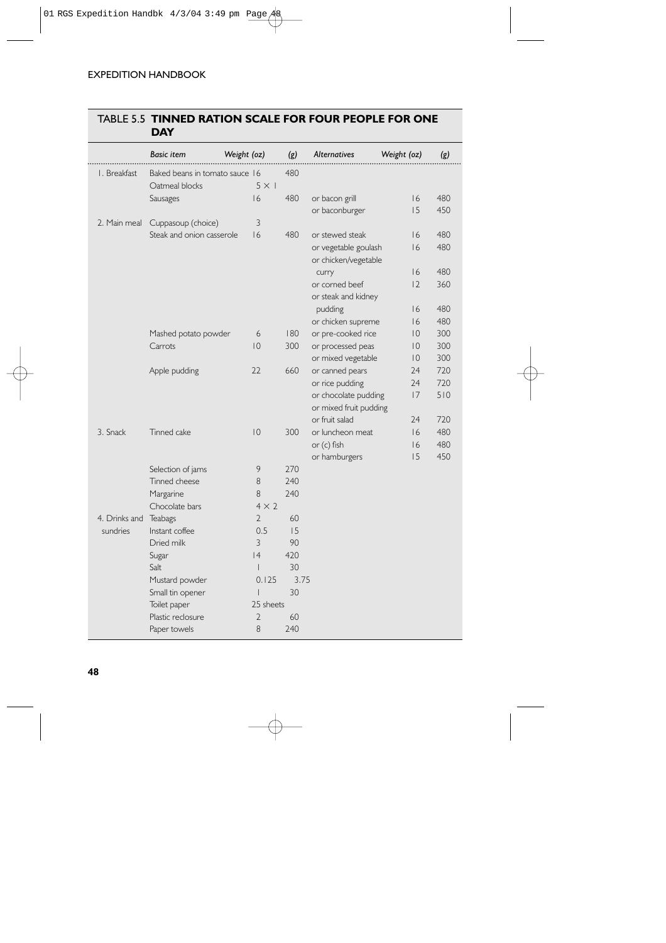# TABLE 5.5 **TINNED RATION SCALE FOR FOUR PEOPLE FOR ONE DAY**

|               | <b>Basic item</b>              | Weight (oz)    | (g)  | <b>Alternatives</b>    | Weight (oz)     | (g) |
|---------------|--------------------------------|----------------|------|------------------------|-----------------|-----|
| I. Breakfast  | Baked beans in tomato sauce 16 |                | 480  |                        |                 |     |
|               | Oatmeal blocks                 | $5 \times 1$   |      |                        |                 |     |
|               | <b>Sausages</b>                | 16             | 480  | or bacon grill         | 16              | 480 |
|               |                                |                |      | or baconburger         | 15              | 450 |
| 2. Main meal  | Cuppasoup (choice)             | 3              |      |                        |                 |     |
|               | Steak and onion casserole      | 16             | 480  | or stewed steak        | 16              | 480 |
|               |                                |                |      | or vegetable goulash   | 16              | 480 |
|               |                                |                |      | or chicken/vegetable   |                 |     |
|               |                                |                |      | curry                  | 16              | 480 |
|               |                                |                |      | or corned beef         | $ 2\rangle$     | 360 |
|               |                                |                |      | or steak and kidney    |                 |     |
|               |                                |                |      | pudding                | 16              | 480 |
|               |                                |                |      | or chicken supreme     | 16              | 480 |
|               | Mashed potato powder           | 6              | 180  | or pre-cooked rice     | $ 0\rangle$     | 300 |
|               | Carrots                        | $ 0\rangle$    | 300  | or processed peas      | $\overline{10}$ | 300 |
|               |                                |                |      | or mixed vegetable     | $\overline{0}$  | 300 |
|               | Apple pudding                  | 22             | 660  | or canned pears        | 24              | 720 |
|               |                                |                |      | or rice pudding        | 24              | 720 |
|               |                                |                |      | or chocolate pudding   | 17              | 510 |
|               |                                |                |      | or mixed fruit pudding |                 |     |
|               |                                |                |      | or fruit salad         | 24              | 720 |
| 3. Snack      | Tinned cake                    | $ 0\rangle$    | 300  | or luncheon meat       | 16              | 480 |
|               |                                |                |      | or (c) fish            | 16              | 480 |
|               |                                |                |      | or hamburgers          | 15              | 450 |
|               | Selection of jams              | 9              | 270  |                        |                 |     |
|               | Tinned cheese                  | 8              | 240  |                        |                 |     |
|               | Margarine                      | 8              | 240  |                        |                 |     |
|               | Chocolate bars                 | $4 \times 2$   |      |                        |                 |     |
| 4. Drinks and | Teabags                        | $\overline{2}$ | 60   |                        |                 |     |
| sundries      | Instant coffee                 | 0.5            | 15   |                        |                 |     |
|               | Dried milk                     | 3              | 90   |                        |                 |     |
|               | Sugar                          | 4              | 420  |                        |                 |     |
|               | Salt                           | T              | 30   |                        |                 |     |
|               | Mustard powder                 | 0.125          | 3.75 |                        |                 |     |
|               | Small tin opener               | T              | 30   |                        |                 |     |
|               | Toilet paper                   | 25 sheets      |      |                        |                 |     |
|               | Plastic reclosure              | $\overline{2}$ | 60   |                        |                 |     |
|               | Paper towels                   | 8              | 240  |                        |                 |     |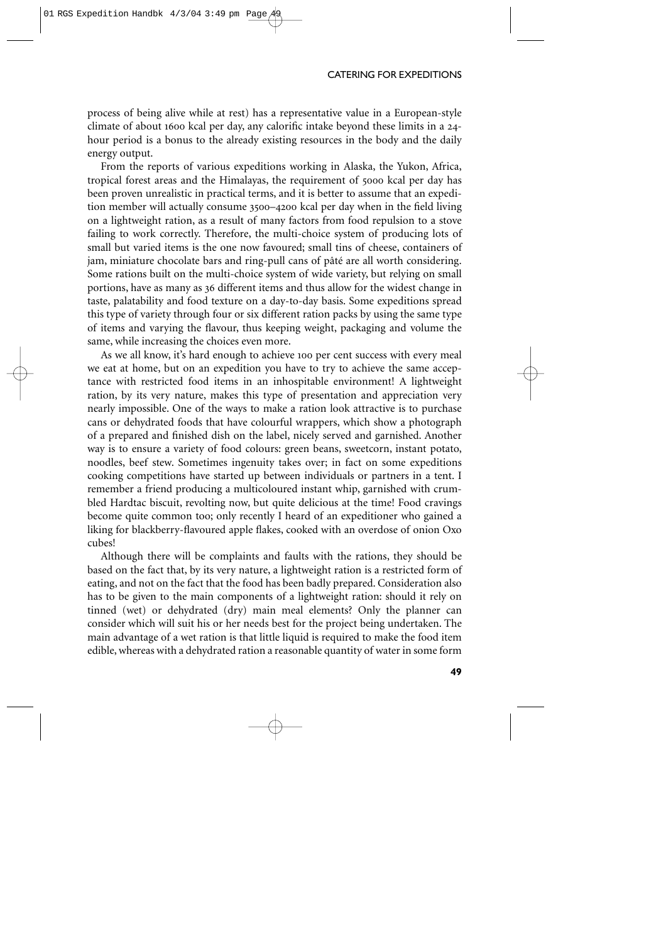process of being alive while at rest) has a representative value in a European-style climate of about 1600 kcal per day, any calorific intake beyond these limits in a 24 hour period is a bonus to the already existing resources in the body and the daily energy output.

01 RGS Expedition Handbk 4/3/04 3:49 pm Page

From the reports of various expeditions working in Alaska, the Yukon, Africa, tropical forest areas and the Himalayas, the requirement of 5000 kcal per day has been proven unrealistic in practical terms, and it is better to assume that an expedition member will actually consume 3500–4200 kcal per day when in the field living on a lightweight ration, as a result of many factors from food repulsion to a stove failing to work correctly. Therefore, the multi-choice system of producing lots of small but varied items is the one now favoured; small tins of cheese, containers of jam, miniature chocolate bars and ring-pull cans of pâté are all worth considering. Some rations built on the multi-choice system of wide variety, but relying on small portions, have as many as 36 different items and thus allow for the widest change in taste, palatability and food texture on a day-to-day basis. Some expeditions spread this type of variety through four or six different ration packs by using the same type of items and varying the flavour, thus keeping weight, packaging and volume the same, while increasing the choices even more.

As we all know, it's hard enough to achieve 100 per cent success with every meal we eat at home, but on an expedition you have to try to achieve the same acceptance with restricted food items in an inhospitable environment! A lightweight ration, by its very nature, makes this type of presentation and appreciation very nearly impossible. One of the ways to make a ration look attractive is to purchase cans or dehydrated foods that have colourful wrappers, which show a photograph of a prepared and finished dish on the label, nicely served and garnished. Another way is to ensure a variety of food colours: green beans, sweetcorn, instant potato, noodles, beef stew. Sometimes ingenuity takes over; in fact on some expeditions cooking competitions have started up between individuals or partners in a tent. I remember a friend producing a multicoloured instant whip, garnished with crumbled Hardtac biscuit, revolting now, but quite delicious at the time! Food cravings become quite common too; only recently I heard of an expeditioner who gained a liking for blackberry-flavoured apple flakes, cooked with an overdose of onion Oxo cubes!

Although there will be complaints and faults with the rations, they should be based on the fact that, by its very nature, a lightweight ration is a restricted form of eating, and not on the fact that the food has been badly prepared. Consideration also has to be given to the main components of a lightweight ration: should it rely on tinned (wet) or dehydrated (dry) main meal elements? Only the planner can consider which will suit his or her needs best for the project being undertaken. The main advantage of a wet ration is that little liquid is required to make the food item edible, whereas with a dehydrated ration a reasonable quantity of water in some form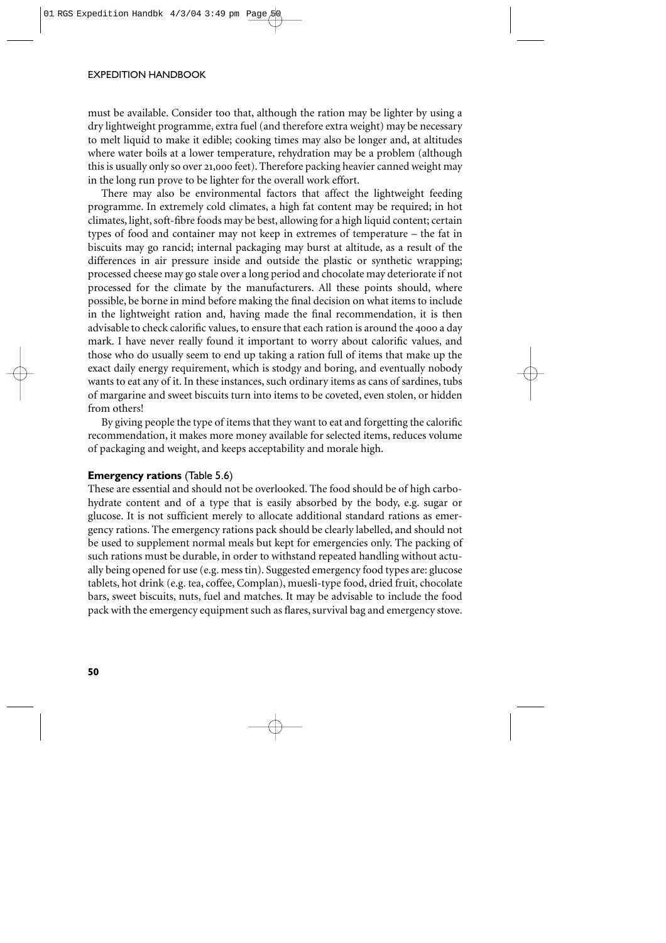must be available. Consider too that, although the ration may be lighter by using a dry lightweight programme, extra fuel (and therefore extra weight) may be necessary to melt liquid to make it edible; cooking times may also be longer and, at altitudes where water boils at a lower temperature, rehydration may be a problem (although this is usually only so over 21,000 feet). Therefore packing heavier canned weight may in the long run prove to be lighter for the overall work effort.

There may also be environmental factors that affect the lightweight feeding programme. In extremely cold climates, a high fat content may be required; in hot climates, light, soft-fibre foods may be best, allowing for a high liquid content; certain types of food and container may not keep in extremes of temperature – the fat in biscuits may go rancid; internal packaging may burst at altitude, as a result of the differences in air pressure inside and outside the plastic or synthetic wrapping; processed cheese may go stale over a long period and chocolate may deteriorate if not processed for the climate by the manufacturers. All these points should, where possible, be borne in mind before making the final decision on what items to include in the lightweight ration and, having made the final recommendation, it is then advisable to check calorific values, to ensure that each ration is around the 4000 a day mark. I have never really found it important to worry about calorific values, and those who do usually seem to end up taking a ration full of items that make up the exact daily energy requirement, which is stodgy and boring, and eventually nobody wants to eat any of it. In these instances, such ordinary items as cans of sardines, tubs of margarine and sweet biscuits turn into items to be coveted, even stolen, or hidden from others!

By giving people the type of items that they want to eat and forgetting the calorific recommendation, it makes more money available for selected items, reduces volume of packaging and weight, and keeps acceptability and morale high.

#### **Emergency rations** (Table 5.6)

These are essential and should not be overlooked. The food should be of high carbohydrate content and of a type that is easily absorbed by the body, e.g. sugar or glucose. It is not sufficient merely to allocate additional standard rations as emergency rations. The emergency rations pack should be clearly labelled, and should not be used to supplement normal meals but kept for emergencies only. The packing of such rations must be durable, in order to withstand repeated handling without actually being opened for use (e.g. mess tin). Suggested emergency food types are: glucose tablets, hot drink (e.g. tea, coffee, Complan), muesli-type food, dried fruit, chocolate bars, sweet biscuits, nuts, fuel and matches. It may be advisable to include the food pack with the emergency equipment such as flares, survival bag and emergency stove.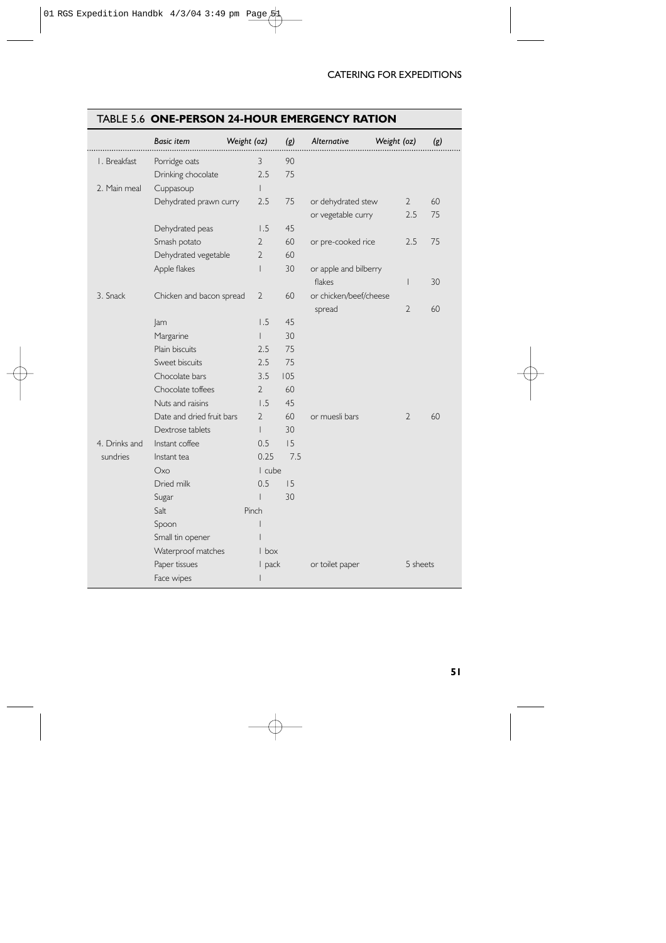# TABLE 5.6 **ONE-PERSON 24-HOUR EMERGENCY RATION**

|               | <b>Basic item</b>         | Weight (oz)    |         | (g) | Alternative            | Weight (oz) |                | (g) |
|---------------|---------------------------|----------------|---------|-----|------------------------|-------------|----------------|-----|
| I. Breakfast  | Porridge oats             | 3              |         | 90  |                        |             |                |     |
|               | Drinking chocolate        |                | 2.5     | 75  |                        |             |                |     |
| 2. Main meal  | Cuppasoup                 | I              |         |     |                        |             |                |     |
|               | Dehydrated prawn curry    |                | 2.5     | 75  | or dehydrated stew     |             | $\mathbf{2}$   | 60  |
|               |                           |                |         |     | or vegetable curry     |             | 2.5            | 75  |
|               | Dehydrated peas           |                | 1.5     | 45  |                        |             |                |     |
|               | Smash potato              | $\mathfrak{D}$ |         | 60  | or pre-cooked rice     |             | 2.5            | 75  |
|               | Dehydrated vegetable      | $\overline{2}$ |         | 60  |                        |             |                |     |
|               | Apple flakes              | $\mathsf{I}$   |         | 30  | or apple and bilberry  |             |                |     |
|               |                           |                |         |     | flakes                 |             | $\overline{1}$ | 30  |
| 3. Snack      | Chicken and bacon spread  | $\overline{2}$ |         | 60  | or chicken/beef/cheese |             |                |     |
|               |                           |                |         |     | spread                 |             | $\overline{2}$ | 60  |
|               | Jam                       |                | 1.5     | 45  |                        |             |                |     |
|               | Margarine                 | L              |         | 30  |                        |             |                |     |
|               | Plain biscuits            |                | 2.5     | 75  |                        |             |                |     |
|               | Sweet biscuits            |                | 2.5     | 75  |                        |             |                |     |
|               | Chocolate bars            |                | 3.5     | 105 |                        |             |                |     |
|               | Chocolate toffees         | $\overline{2}$ |         | 60  |                        |             |                |     |
|               | Nuts and raisins          |                | 1.5     | 45  |                        |             |                |     |
|               | Date and dried fruit bars | $\overline{2}$ |         | 60  | or muesli bars         |             | $\overline{2}$ | 60  |
|               | Dextrose tablets          | $\mathbf{L}$   |         | 30  |                        |             |                |     |
| 4. Drinks and | Instant coffee            |                | 0.5     | 15  |                        |             |                |     |
| sundries      | Instant tea               |                | 0.25    | 7.5 |                        |             |                |     |
|               | Oxo                       |                | I cube  |     |                        |             |                |     |
|               | Dried milk                |                | 0.5     | 1.5 |                        |             |                |     |
|               | Sugar                     | $\overline{1}$ |         | 30  |                        |             |                |     |
|               | Salt                      | Pinch          |         |     |                        |             |                |     |
|               | Spoon                     | ı              |         |     |                        |             |                |     |
|               | Small tin opener          |                |         |     |                        |             |                |     |
|               | Waterproof matches        |                | $1$ box |     |                        |             |                |     |
|               | Paper tissues             |                | I pack  |     | or toilet paper        |             | 5 sheets       |     |
|               | Face wipes                | I              |         |     |                        |             |                |     |